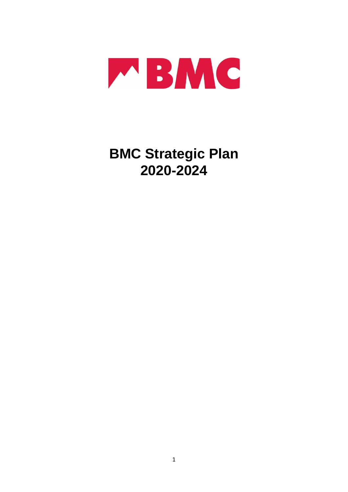

# **BMC Strategic Plan 2020-2024**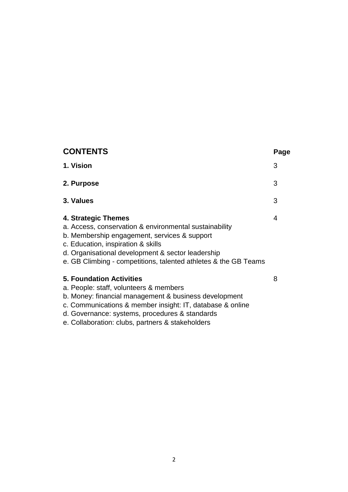| <b>CONTENTS</b>                                                                                                                                                                                                                                                                                       | Page |
|-------------------------------------------------------------------------------------------------------------------------------------------------------------------------------------------------------------------------------------------------------------------------------------------------------|------|
| 1. Vision                                                                                                                                                                                                                                                                                             | 3    |
| 2. Purpose                                                                                                                                                                                                                                                                                            | 3    |
| 3. Values                                                                                                                                                                                                                                                                                             | 3    |
| 4. Strategic Themes<br>a. Access, conservation & environmental sustainability<br>b. Membership engagement, services & support<br>c. Education, inspiration & skills<br>d. Organisational development & sector leadership<br>e. GB Climbing - competitions, talented athletes & the GB Teams           | 4    |
| <b>5. Foundation Activities</b><br>a. People: staff, volunteers & members<br>b. Money: financial management & business development<br>c. Communications & member insight: IT, database & online<br>d. Governance: systems, procedures & standards<br>e. Collaboration: clubs, partners & stakeholders | 8    |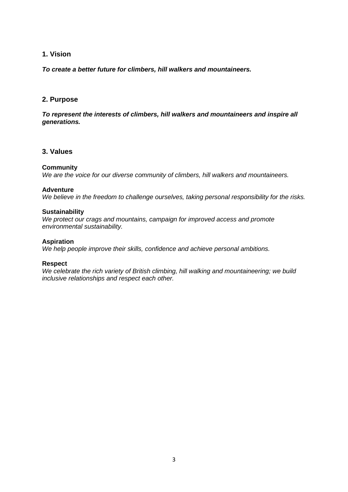# **1. Vision**

*To create a better future for climbers, hill walkers and mountaineers.*

# **2. Purpose**

*To represent the interests of climbers, hill walkers and mountaineers and inspire all generations.*

# **3. Values**

#### **Community**

*We are the voice for our diverse community of climbers, hill walkers and mountaineers.*

## **Adventure**

*We believe in the freedom to challenge ourselves, taking personal responsibility for the risks.*

#### **Sustainability**

*We protect our crags and mountains, campaign for improved access and promote environmental sustainability.*

#### **Aspiration**

*We help people improve their skills, confidence and achieve personal ambitions.*

#### **Respect**

*We celebrate the rich variety of British climbing, hill walking and mountaineering; we build inclusive relationships and respect each other.*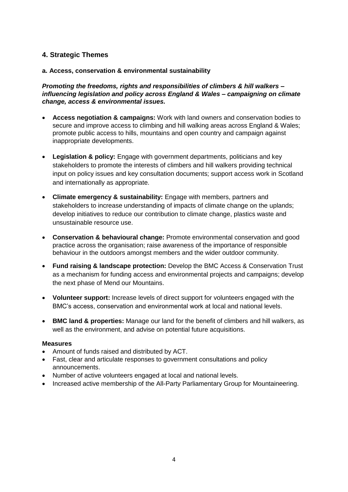# **4. Strategic Themes**

# **a. Access, conservation & environmental sustainability**

*Promoting the freedoms, rights and responsibilities of climbers & hill walkers – influencing legislation and policy across England & Wales – campaigning on climate change, access & environmental issues.*

- **Access negotiation & campaigns:** Work with land owners and conservation bodies to secure and improve access to climbing and hill walking areas across England & Wales; promote public access to hills, mountains and open country and campaign against inappropriate developments.
- **Legislation & policy:** Engage with government departments, politicians and key stakeholders to promote the interests of climbers and hill walkers providing technical input on policy issues and key consultation documents; support access work in Scotland and internationally as appropriate.
- **Climate emergency & sustainability:** Engage with members, partners and stakeholders to increase understanding of impacts of climate change on the uplands; develop initiatives to reduce our contribution to climate change, plastics waste and unsustainable resource use.
- **Conservation & behavioural change:** Promote environmental conservation and good practice across the organisation; raise awareness of the importance of responsible behaviour in the outdoors amongst members and the wider outdoor community.
- **Fund raising & landscape protection:** Develop the BMC Access & Conservation Trust as a mechanism for funding access and environmental projects and campaigns; develop the next phase of Mend our Mountains.
- **Volunteer support:** Increase levels of direct support for volunteers engaged with the BMC's access, conservation and environmental work at local and national levels.
- **BMC land & properties:** Manage our land for the benefit of climbers and hill walkers, as well as the environment, and advise on potential future acquisitions.

# **Measures**

- Amount of funds raised and distributed by ACT.
- Fast, clear and articulate responses to government consultations and policy announcements.
- Number of active volunteers engaged at local and national levels.
- Increased active membership of the All-Party Parliamentary Group for Mountaineering.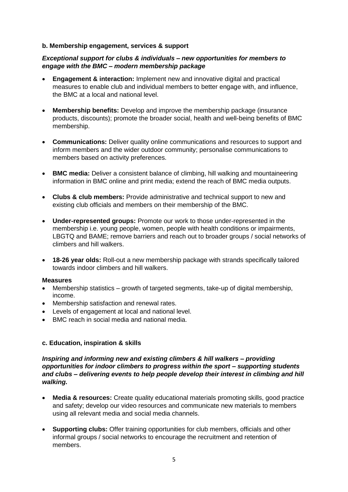## **b. Membership engagement, services & support**

# *Exceptional support for clubs & individuals – new opportunities for members to engage with the BMC – modern membership package*

- **Engagement & interaction:** Implement new and innovative digital and practical measures to enable club and individual members to better engage with, and influence, the BMC at a local and national level.
- **Membership benefits:** Develop and improve the membership package (insurance products, discounts); promote the broader social, health and well-being benefits of BMC membership.
- **Communications:** Deliver quality online communications and resources to support and inform members and the wider outdoor community; personalise communications to members based on activity preferences.
- **BMC media:** Deliver a consistent balance of climbing, hill walking and mountaineering information in BMC online and print media; extend the reach of BMC media outputs.
- **Clubs & club members:** Provide administrative and technical support to new and existing club officials and members on their membership of the BMC.
- **Under-represented groups:** Promote our work to those under-represented in the membership i.e. young people, women, people with health conditions or impairments, LBGTQ and BAME; remove barriers and reach out to broader groups / social networks of climbers and hill walkers.
- **18-26 year olds:** Roll-out a new membership package with strands specifically tailored towards indoor climbers and hill walkers.

#### **Measures**

- Membership statistics growth of targeted segments, take-up of digital membership, income.
- Membership satisfaction and renewal rates.
- Levels of engagement at local and national level.
- BMC reach in social media and national media.

# **c. Education, inspiration & skills**

# *Inspiring and informing new and existing climbers & hill walkers – providing opportunities for indoor climbers to progress within the sport – supporting students and clubs – delivering events to help people develop their interest in climbing and hill walking.*

- **Media & resources:** Create quality educational materials promoting skills, good practice and safety; develop our video resources and communicate new materials to members using all relevant media and social media channels.
- **Supporting clubs:** Offer training opportunities for club members, officials and other informal groups / social networks to encourage the recruitment and retention of members.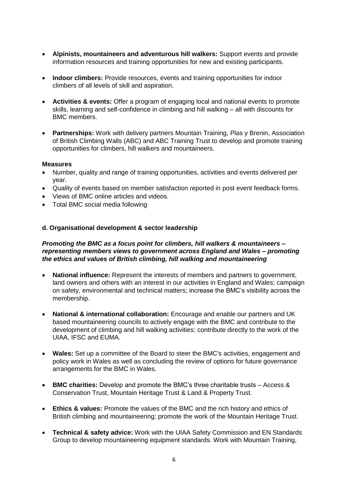- **Alpinists, mountaineers and adventurous hill walkers:** Support events and provide information resources and training opportunities for new and existing participants.
- **Indoor climbers:** Provide resources, events and training opportunities for indoor climbers of all levels of skill and aspiration.
- **Activities & events:** Offer a program of engaging local and national events to promote skills, learning and self-confidence in climbing and hill walking – all with discounts for BMC members.
- **Partnerships:** Work with delivery partners Mountain Training, Plas y Brenin, Association of British Climbing Walls (ABC) and ABC Training Trust to develop and promote training opportunities for climbers, hill walkers and mountaineers.

## **Measures**

- Number, quality and range of training opportunities, activities and events delivered per year.
- Quality of events based on member satisfaction reported in post event feedback forms.
- Views of BMC online articles and videos.
- Total BMC social media following

## **d. Organisational development & sector leadership**

# *Promoting the BMC as a focus point for climbers, hill walkers & mountaineers – representing members views to government across England and Wales – promoting the ethics and values of British climbing, hill walking and mountaineering*

- **National influence:** Represent the interests of members and partners to government, land owners and others with an interest in our activities in England and Wales; campaign on safety, environmental and technical matters; increase the BMC's visibility across the membership.
- **National & international collaboration:** Encourage and enable our partners and UK based mountaineering councils to actively engage with the BMC and contribute to the development of climbing and hill walking activities; contribute directly to the work of the UIAA, IFSC and EUMA.
- **Wales:** Set up a committee of the Board to steer the BMC's activities, engagement and policy work in Wales as well as concluding the review of options for future governance arrangements for the BMC in Wales.
- **BMC charities:** Develop and promote the BMC's three charitable trusts Access & Conservation Trust, Mountain Heritage Trust & Land & Property Trust.
- **Ethics & values:** Promote the values of the BMC and the rich history and ethics of British climbing and mountaineering; promote the work of the Mountain Heritage Trust.
- **Technical & safety advice:** Work with the UIAA Safety Commission and EN Standards Group to develop mountaineering equipment standards. Work with Mountain Training,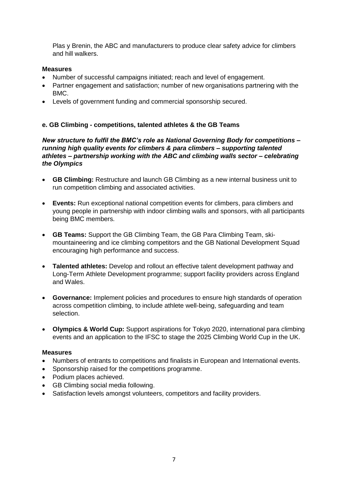Plas y Brenin, the ABC and manufacturers to produce clear safety advice for climbers and hill walkers.

# **Measures**

- Number of successful campaigns initiated; reach and level of engagement.
- Partner engagement and satisfaction; number of new organisations partnering with the BMC.
- Levels of government funding and commercial sponsorship secured.

# **e. GB Climbing - competitions, talented athletes & the GB Teams**

*New structure to fulfil the BMC's role as National Governing Body for competitions – running high quality events for climbers & para climbers – supporting talented athletes – partnership working with the ABC and climbing walls sector – celebrating the Olympics*

- **GB Climbing:** Restructure and launch GB Climbing as a new internal business unit to run competition climbing and associated activities.
- **Events:** Run exceptional national competition events for climbers, para climbers and young people in partnership with indoor climbing walls and sponsors, with all participants being BMC members.
- **GB Teams:** Support the GB Climbing Team, the GB Para Climbing Team, skimountaineering and ice climbing competitors and the GB National Development Squad encouraging high performance and success.
- **Talented athletes:** Develop and rollout an effective talent development pathway and Long-Term Athlete Development programme; support facility providers across England and Wales.
- **Governance:** Implement policies and procedures to ensure high standards of operation across competition climbing, to include athlete well-being, safeguarding and team selection.
- **Olympics & World Cup:** Support aspirations for Tokyo 2020, international para climbing events and an application to the IFSC to stage the 2025 Climbing World Cup in the UK.

# **Measures**

- Numbers of entrants to competitions and finalists in European and International events.
- Sponsorship raised for the competitions programme.
- Podium places achieved.
- GB Climbing social media following.
- Satisfaction levels amongst volunteers, competitors and facility providers.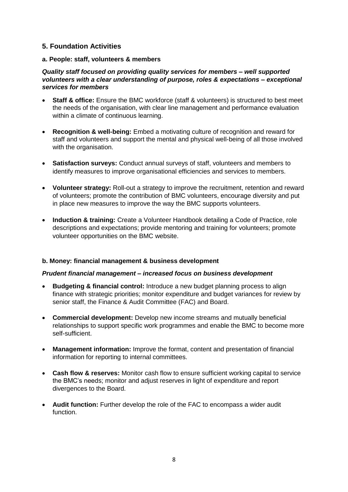# **5. Foundation Activities**

# **a. People: staff, volunteers & members**

# *Quality staff focused on providing quality services for members – well supported volunteers with a clear understanding of purpose, roles & expectations – exceptional services for members*

- **Staff & office:** Ensure the BMC workforce (staff & volunteers) is structured to best meet the needs of the organisation, with clear line management and performance evaluation within a climate of continuous learning.
- **Recognition & well-being:** Embed a motivating culture of recognition and reward for staff and volunteers and support the mental and physical well-being of all those involved with the organisation.
- **Satisfaction surveys:** Conduct annual surveys of staff, volunteers and members to identify measures to improve organisational efficiencies and services to members.
- **Volunteer strategy:** Roll-out a strategy to improve the recruitment, retention and reward of volunteers; promote the contribution of BMC volunteers, encourage diversity and put in place new measures to improve the way the BMC supports volunteers.
- **Induction & training:** Create a Volunteer Handbook detailing a Code of Practice, role descriptions and expectations; provide mentoring and training for volunteers; promote volunteer opportunities on the BMC website.

# **b. Money: financial management & business development**

# *Prudent financial management – increased focus on business development*

- **Budgeting & financial control:** Introduce a new budget planning process to align finance with strategic priorities; monitor expenditure and budget variances for review by senior staff, the Finance & Audit Committee (FAC) and Board.
- **Commercial development:** Develop new income streams and mutually beneficial relationships to support specific work programmes and enable the BMC to become more self-sufficient.
- **Management information:** Improve the format, content and presentation of financial information for reporting to internal committees.
- **Cash flow & reserves:** Monitor cash flow to ensure sufficient working capital to service the BMC's needs; monitor and adjust reserves in light of expenditure and report divergences to the Board.
- **Audit function:** Further develop the role of the FAC to encompass a wider audit function.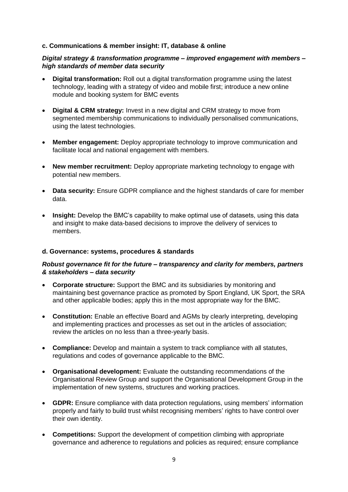# **c. Communications & member insight: IT, database & online**

# *Digital strategy & transformation programme – improved engagement with members – high standards of member data security*

- **Digital transformation:** Roll out a digital transformation programme using the latest technology, leading with a strategy of video and mobile first; introduce a new online module and booking system for BMC events
- **Digital & CRM strategy:** Invest in a new digital and CRM strategy to move from segmented membership communications to individually personalised communications, using the latest technologies.
- **Member engagement:** Deploy appropriate technology to improve communication and facilitate local and national engagement with members.
- **New member recruitment:** Deploy appropriate marketing technology to engage with potential new members.
- **Data security:** Ensure GDPR compliance and the highest standards of care for member data.
- **Insight:** Develop the BMC's capability to make optimal use of datasets, using this data and insight to make data-based decisions to improve the delivery of services to members.

# **d. Governance: systems, procedures & standards**

# *Robust governance fit for the future – transparency and clarity for members, partners & stakeholders – data security*

- **Corporate structure:** Support the BMC and its subsidiaries by monitoring and maintaining best governance practice as promoted by Sport England, UK Sport, the SRA and other applicable bodies; apply this in the most appropriate way for the BMC.
- **Constitution:** Enable an effective Board and AGMs by clearly interpreting, developing and implementing practices and processes as set out in the articles of association; review the articles on no less than a three-yearly basis.
- **Compliance:** Develop and maintain a system to track compliance with all statutes, regulations and codes of governance applicable to the BMC.
- **Organisational development:** Evaluate the outstanding recommendations of the Organisational Review Group and support the Organisational Development Group in the implementation of new systems, structures and working practices.
- **GDPR:** Ensure compliance with data protection regulations, using members' information properly and fairly to build trust whilst recognising members' rights to have control over their own identity.
- **Competitions:** Support the development of competition climbing with appropriate governance and adherence to regulations and policies as required; ensure compliance